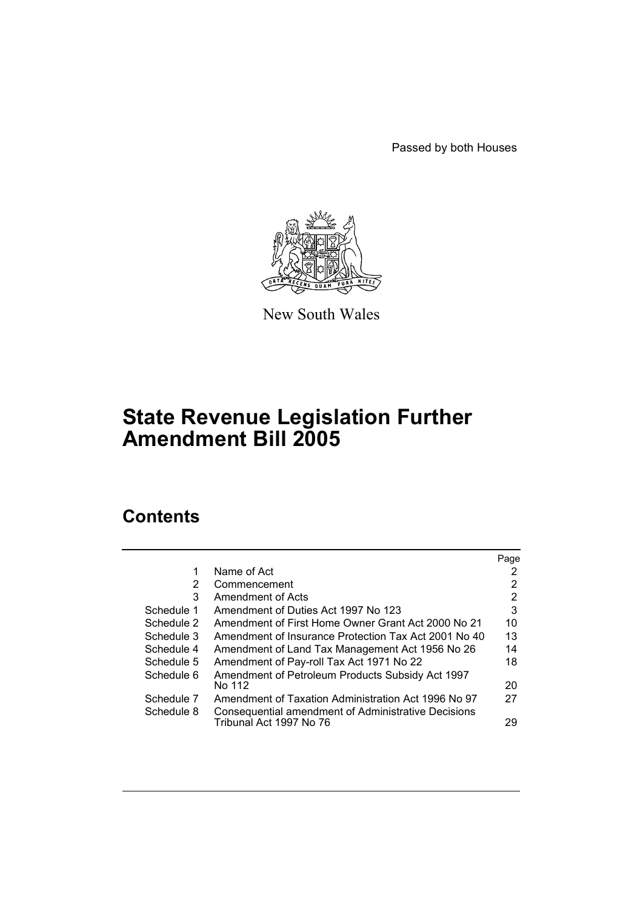Passed by both Houses



New South Wales

# **State Revenue Legislation Further Amendment Bill 2005**

## **Contents**

|            |                                                      | Page |
|------------|------------------------------------------------------|------|
|            | Name of Act                                          | 2    |
| 2          | Commencement                                         | 2    |
| 3          | Amendment of Acts                                    | 2    |
| Schedule 1 | Amendment of Duties Act 1997 No 123                  | 3    |
| Schedule 2 | Amendment of First Home Owner Grant Act 2000 No 21   | 10   |
| Schedule 3 | Amendment of Insurance Protection Tax Act 2001 No 40 | 13   |
| Schedule 4 | Amendment of Land Tax Management Act 1956 No 26      | 14   |
| Schedule 5 | Amendment of Pay-roll Tax Act 1971 No 22             | 18   |
| Schedule 6 | Amendment of Petroleum Products Subsidy Act 1997     |      |
|            | No 112                                               | 20   |
| Schedule 7 | Amendment of Taxation Administration Act 1996 No 97  | 27   |
| Schedule 8 | Consequential amendment of Administrative Decisions  |      |
|            | Tribunal Act 1997 No 76                              | 29   |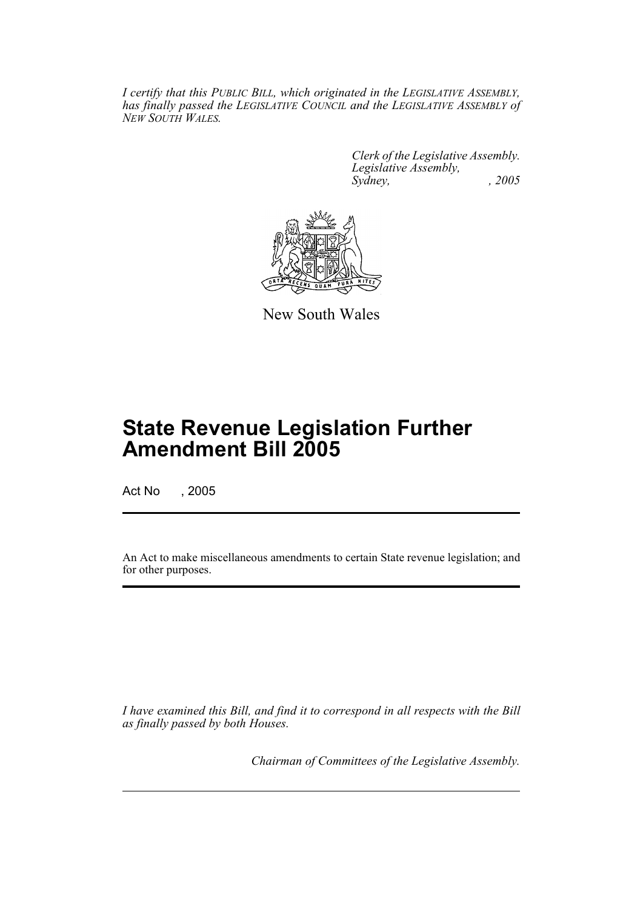*I certify that this PUBLIC BILL, which originated in the LEGISLATIVE ASSEMBLY, has finally passed the LEGISLATIVE COUNCIL and the LEGISLATIVE ASSEMBLY of NEW SOUTH WALES.*

> *Clerk of the Legislative Assembly. Legislative Assembly, Sydney, , 2005*



New South Wales

# **State Revenue Legislation Further Amendment Bill 2005**

Act No , 2005

An Act to make miscellaneous amendments to certain State revenue legislation; and for other purposes.

*I have examined this Bill, and find it to correspond in all respects with the Bill as finally passed by both Houses.*

*Chairman of Committees of the Legislative Assembly.*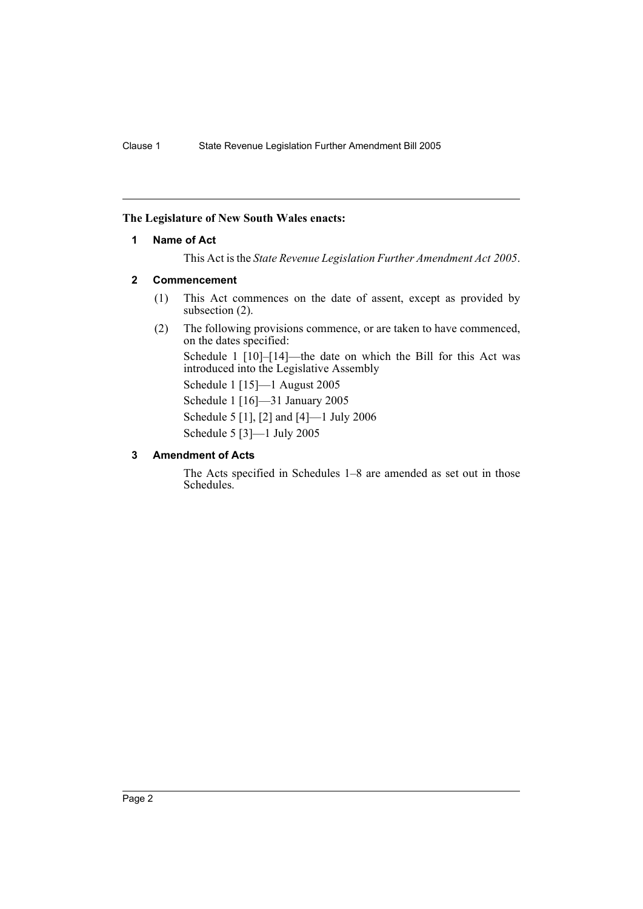#### **The Legislature of New South Wales enacts:**

#### **1 Name of Act**

This Act is the *State Revenue Legislation Further Amendment Act 2005*.

#### **2 Commencement**

- (1) This Act commences on the date of assent, except as provided by subsection (2).
- (2) The following provisions commence, or are taken to have commenced, on the dates specified:

Schedule 1 [10]–[14]—the date on which the Bill for this Act was introduced into the Legislative Assembly

Schedule 1 [15]—1 August 2005

Schedule 1 [16]—31 January 2005 Schedule 5 [1], [2] and [4]—1 July 2006 Schedule 5 [3]—1 July 2005

#### **3 Amendment of Acts**

The Acts specified in Schedules 1–8 are amended as set out in those Schedules.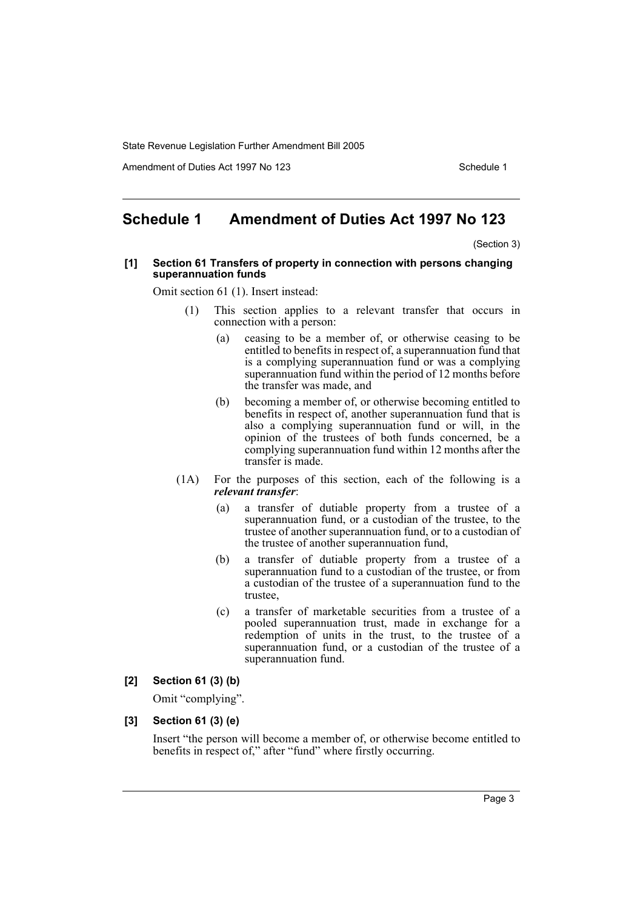Amendment of Duties Act 1997 No 123 Schedule 1

### **Schedule 1 Amendment of Duties Act 1997 No 123**

(Section 3)

#### **[1] Section 61 Transfers of property in connection with persons changing superannuation funds**

Omit section 61 (1). Insert instead:

- (1) This section applies to a relevant transfer that occurs in connection with a person:
	- (a) ceasing to be a member of, or otherwise ceasing to be entitled to benefits in respect of, a superannuation fund that is a complying superannuation fund or was a complying superannuation fund within the period of 12 months before the transfer was made, and
	- (b) becoming a member of, or otherwise becoming entitled to benefits in respect of, another superannuation fund that is also a complying superannuation fund or will, in the opinion of the trustees of both funds concerned, be a complying superannuation fund within 12 months after the transfer is made.
- (1A) For the purposes of this section, each of the following is a *relevant transfer*:
	- (a) a transfer of dutiable property from a trustee of a superannuation fund, or a custodian of the trustee, to the trustee of another superannuation fund, or to a custodian of the trustee of another superannuation fund,
	- (b) a transfer of dutiable property from a trustee of a superannuation fund to a custodian of the trustee, or from a custodian of the trustee of a superannuation fund to the trustee,
	- (c) a transfer of marketable securities from a trustee of a pooled superannuation trust, made in exchange for a redemption of units in the trust, to the trustee of a superannuation fund, or a custodian of the trustee of a superannuation fund.

#### **[2] Section 61 (3) (b)**

Omit "complying".

#### **[3] Section 61 (3) (e)**

Insert "the person will become a member of, or otherwise become entitled to benefits in respect of," after "fund" where firstly occurring.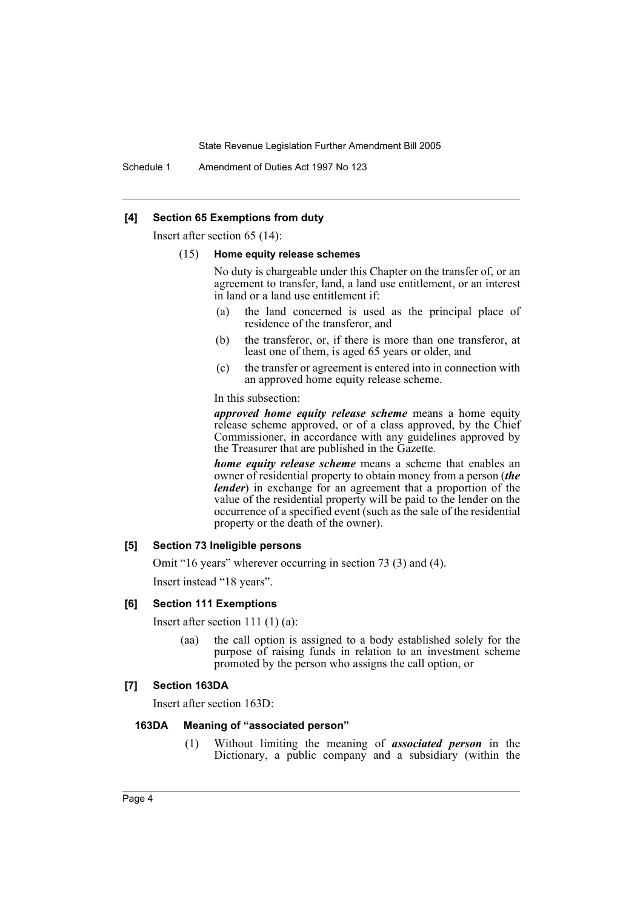Schedule 1 Amendment of Duties Act 1997 No 123

#### **[4] Section 65 Exemptions from duty**

Insert after section 65 (14):

#### (15) **Home equity release schemes**

No duty is chargeable under this Chapter on the transfer of, or an agreement to transfer, land, a land use entitlement, or an interest in land or a land use entitlement if:

- (a) the land concerned is used as the principal place of residence of the transferor, and
- (b) the transferor, or, if there is more than one transferor, at least one of them, is aged 65 years or older, and
- (c) the transfer or agreement is entered into in connection with an approved home equity release scheme.

In this subsection:

*approved home equity release scheme* means a home equity release scheme approved, or of a class approved, by the Chief Commissioner, in accordance with any guidelines approved by the Treasurer that are published in the Gazette.

*home equity release scheme* means a scheme that enables an owner of residential property to obtain money from a person (*the lender*) in exchange for an agreement that a proportion of the value of the residential property will be paid to the lender on the occurrence of a specified event (such as the sale of the residential property or the death of the owner).

#### **[5] Section 73 Ineligible persons**

Omit "16 years" wherever occurring in section 73 (3) and (4). Insert instead "18 years".

#### **[6] Section 111 Exemptions**

Insert after section 111 (1) (a):

(aa) the call option is assigned to a body established solely for the purpose of raising funds in relation to an investment scheme promoted by the person who assigns the call option, or

#### **[7] Section 163DA**

Insert after section 163D:

#### **163DA Meaning of "associated person"**

(1) Without limiting the meaning of *associated person* in the Dictionary, a public company and a subsidiary (within the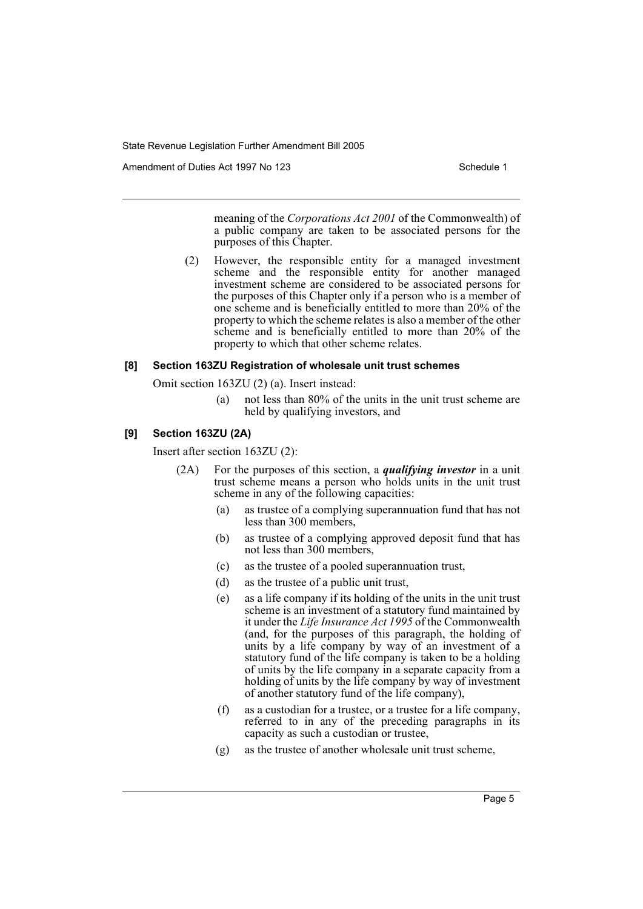Amendment of Duties Act 1997 No 123 Schedule 1

meaning of the *Corporations Act 2001* of the Commonwealth) of a public company are taken to be associated persons for the purposes of this Chapter.

(2) However, the responsible entity for a managed investment scheme and the responsible entity for another managed investment scheme are considered to be associated persons for the purposes of this Chapter only if a person who is a member of one scheme and is beneficially entitled to more than 20% of the property to which the scheme relates is also a member of the other scheme and is beneficially entitled to more than 20% of the property to which that other scheme relates.

#### **[8] Section 163ZU Registration of wholesale unit trust schemes**

Omit section 163ZU (2) (a). Insert instead:

(a) not less than 80% of the units in the unit trust scheme are held by qualifying investors, and

#### **[9] Section 163ZU (2A)**

Insert after section 163ZU (2):

- (2A) For the purposes of this section, a *qualifying investor* in a unit trust scheme means a person who holds units in the unit trust scheme in any of the following capacities:
	- (a) as trustee of a complying superannuation fund that has not less than 300 members,
	- (b) as trustee of a complying approved deposit fund that has not less than 300 members,
	- (c) as the trustee of a pooled superannuation trust,
	- (d) as the trustee of a public unit trust,
	- (e) as a life company if its holding of the units in the unit trust scheme is an investment of a statutory fund maintained by it under the *Life Insurance Act 1995* of the Commonwealth (and, for the purposes of this paragraph, the holding of units by a life company by way of an investment of a statutory fund of the life company is taken to be a holding of units by the life company in a separate capacity from a holding of units by the life company by way of investment of another statutory fund of the life company),
	- (f) as a custodian for a trustee, or a trustee for a life company, referred to in any of the preceding paragraphs in its capacity as such a custodian or trustee,
	- (g) as the trustee of another wholesale unit trust scheme,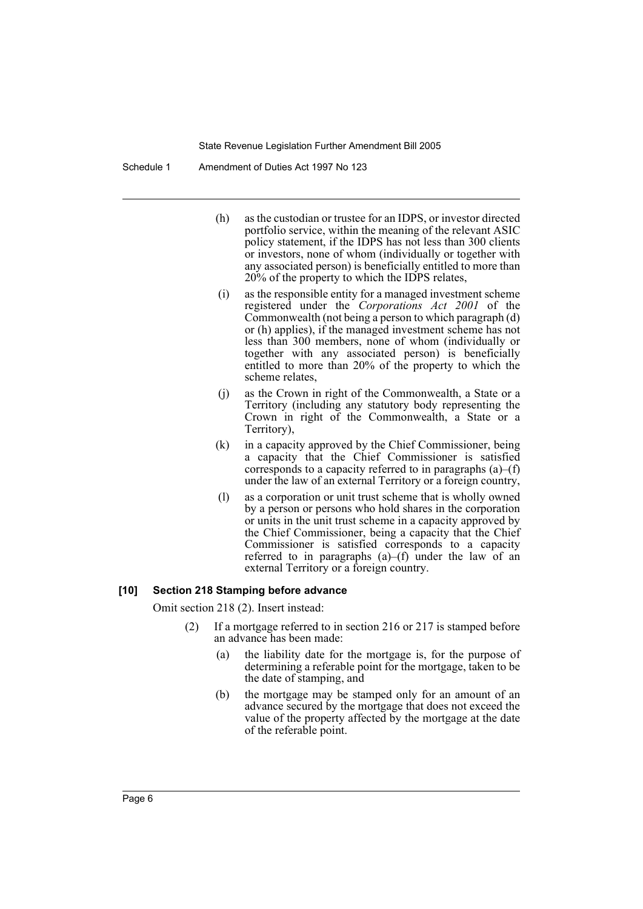Schedule 1 Amendment of Duties Act 1997 No 123

- (h) as the custodian or trustee for an IDPS, or investor directed portfolio service, within the meaning of the relevant ASIC policy statement, if the IDPS has not less than 300 clients or investors, none of whom (individually or together with any associated person) is beneficially entitled to more than 20% of the property to which the IDPS relates,
- (i) as the responsible entity for a managed investment scheme registered under the *Corporations Act 2001* of the Commonwealth (not being a person to which paragraph (d) or (h) applies), if the managed investment scheme has not less than 300 members, none of whom (individually or together with any associated person) is beneficially entitled to more than 20% of the property to which the scheme relates,
- (j) as the Crown in right of the Commonwealth, a State or a Territory (including any statutory body representing the Crown in right of the Commonwealth, a State or a Territory),
- (k) in a capacity approved by the Chief Commissioner, being a capacity that the Chief Commissioner is satisfied corresponds to a capacity referred to in paragraphs (a)–(f) under the law of an external Territory or a foreign country,
- (l) as a corporation or unit trust scheme that is wholly owned by a person or persons who hold shares in the corporation or units in the unit trust scheme in a capacity approved by the Chief Commissioner, being a capacity that the Chief Commissioner is satisfied corresponds to a capacity referred to in paragraphs  $(a)$ – $(f)$  under the law of an external Territory or a foreign country.

#### **[10] Section 218 Stamping before advance**

Omit section 218 (2). Insert instead:

- (2) If a mortgage referred to in section 216 or 217 is stamped before an advance has been made:
	- (a) the liability date for the mortgage is, for the purpose of determining a referable point for the mortgage, taken to be the date of stamping, and
	- (b) the mortgage may be stamped only for an amount of an advance secured by the mortgage that does not exceed the value of the property affected by the mortgage at the date of the referable point.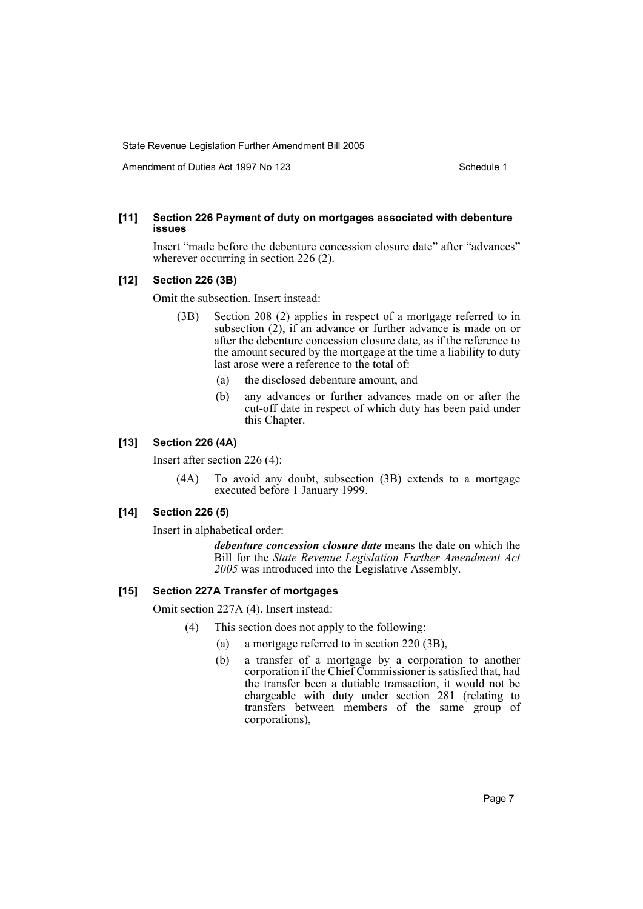Amendment of Duties Act 1997 No 123 Schedule 1

#### **[11] Section 226 Payment of duty on mortgages associated with debenture issues**

Insert "made before the debenture concession closure date" after "advances" wherever occurring in section 226 (2).

#### **[12] Section 226 (3B)**

Omit the subsection. Insert instead:

- (3B) Section 208 (2) applies in respect of a mortgage referred to in subsection  $(2)$ , if an advance or further advance is made on or after the debenture concession closure date, as if the reference to the amount secured by the mortgage at the time a liability to duty last arose were a reference to the total of:
	- (a) the disclosed debenture amount, and
	- (b) any advances or further advances made on or after the cut-off date in respect of which duty has been paid under this Chapter.

#### **[13] Section 226 (4A)**

Insert after section 226 (4):

(4A) To avoid any doubt, subsection (3B) extends to a mortgage executed before 1 January 1999.

#### **[14] Section 226 (5)**

Insert in alphabetical order:

*debenture concession closure date* means the date on which the Bill for the *State Revenue Legislation Further Amendment Act 2005* was introduced into the Legislative Assembly.

#### **[15] Section 227A Transfer of mortgages**

Omit section 227A (4). Insert instead:

- (4) This section does not apply to the following:
	- (a) a mortgage referred to in section 220 (3B),
	- (b) a transfer of a mortgage by a corporation to another corporation if the Chief Commissioner is satisfied that, had the transfer been a dutiable transaction, it would not be chargeable with duty under section 281 (relating to transfers between members of the same group of corporations),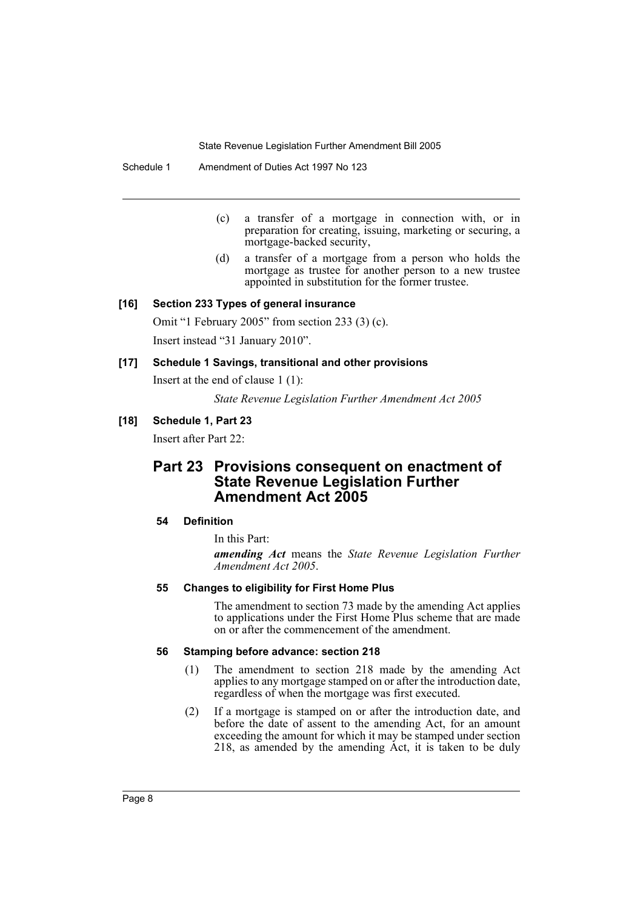Schedule 1 Amendment of Duties Act 1997 No 123

- (c) a transfer of a mortgage in connection with, or in preparation for creating, issuing, marketing or securing, a mortgage-backed security,
- (d) a transfer of a mortgage from a person who holds the mortgage as trustee for another person to a new trustee appointed in substitution for the former trustee.

#### **[16] Section 233 Types of general insurance**

Omit "1 February 2005" from section 233 (3) (c). Insert instead "31 January 2010".

#### **[17] Schedule 1 Savings, transitional and other provisions**

Insert at the end of clause 1 (1):

*State Revenue Legislation Further Amendment Act 2005*

#### **[18] Schedule 1, Part 23**

Insert after Part 22:

### **Part 23 Provisions consequent on enactment of State Revenue Legislation Further Amendment Act 2005**

#### **54 Definition**

In this Part:

*amending Act* means the *State Revenue Legislation Further Amendment Act 2005*.

#### **55 Changes to eligibility for First Home Plus**

The amendment to section 73 made by the amending Act applies to applications under the First Home Plus scheme that are made on or after the commencement of the amendment.

#### **56 Stamping before advance: section 218**

- (1) The amendment to section 218 made by the amending Act applies to any mortgage stamped on or after the introduction date, regardless of when the mortgage was first executed.
- (2) If a mortgage is stamped on or after the introduction date, and before the date of assent to the amending Act, for an amount exceeding the amount for which it may be stamped under section 218, as amended by the amending Act, it is taken to be duly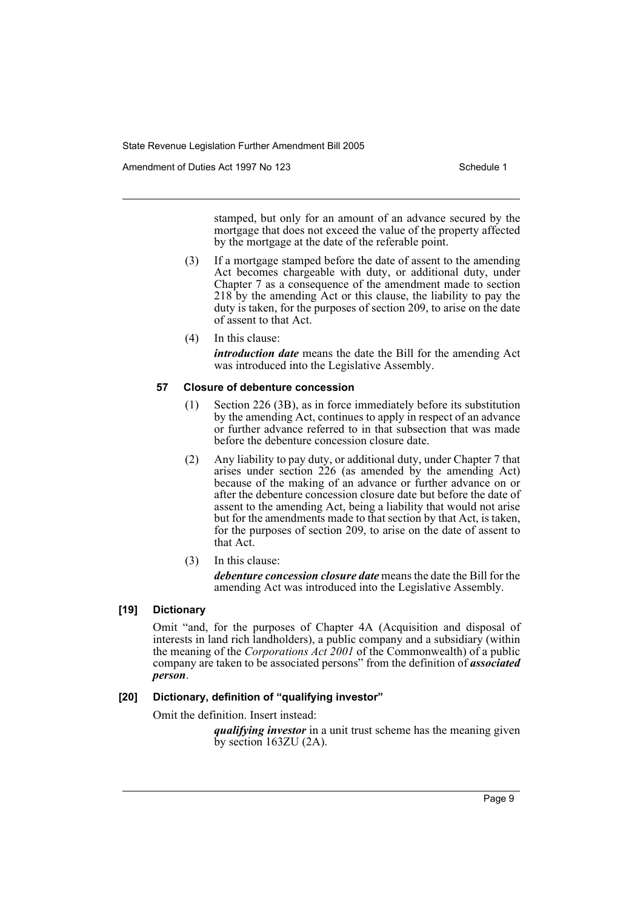Amendment of Duties Act 1997 No 123 Schedule 1

stamped, but only for an amount of an advance secured by the mortgage that does not exceed the value of the property affected by the mortgage at the date of the referable point.

- (3) If a mortgage stamped before the date of assent to the amending Act becomes chargeable with duty, or additional duty, under Chapter 7 as a consequence of the amendment made to section 218 by the amending Act or this clause, the liability to pay the duty is taken, for the purposes of section 209, to arise on the date of assent to that Act.
- (4) In this clause: *introduction date* means the date the Bill for the amending Act was introduced into the Legislative Assembly.

#### **57 Closure of debenture concession**

- (1) Section 226 (3B), as in force immediately before its substitution by the amending Act, continues to apply in respect of an advance or further advance referred to in that subsection that was made before the debenture concession closure date.
- (2) Any liability to pay duty, or additional duty, under Chapter 7 that arises under section 226 (as amended by the amending Act) because of the making of an advance or further advance on or after the debenture concession closure date but before the date of assent to the amending Act, being a liability that would not arise but for the amendments made to that section by that Act, is taken, for the purposes of section 209, to arise on the date of assent to that Act.
- (3) In this clause:

*debenture concession closure date* means the date the Bill for the amending Act was introduced into the Legislative Assembly.

#### **[19] Dictionary**

Omit "and, for the purposes of Chapter 4A (Acquisition and disposal of interests in land rich landholders), a public company and a subsidiary (within the meaning of the *Corporations Act 2001* of the Commonwealth) of a public company are taken to be associated persons" from the definition of *associated person*.

#### **[20] Dictionary, definition of "qualifying investor"**

Omit the definition. Insert instead:

*qualifying investor* in a unit trust scheme has the meaning given by section 163ZU (2A).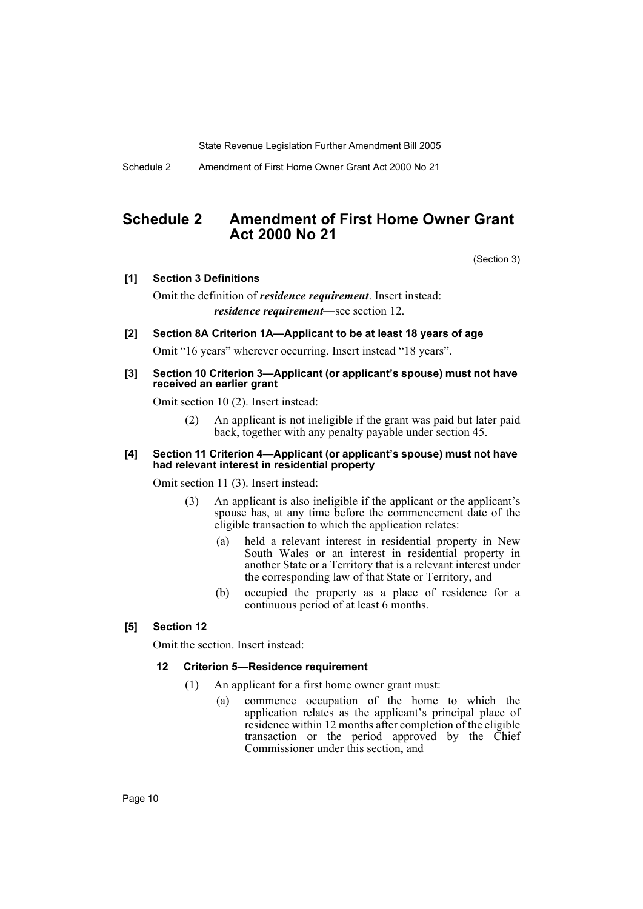Schedule 2 Amendment of First Home Owner Grant Act 2000 No 21

### **Schedule 2 Amendment of First Home Owner Grant Act 2000 No 21**

(Section 3)

#### **[1] Section 3 Definitions**

Omit the definition of *residence requirement*. Insert instead: *residence requirement*—see section 12.

#### **[2] Section 8A Criterion 1A—Applicant to be at least 18 years of age**

Omit "16 years" wherever occurring. Insert instead "18 years".

#### **[3] Section 10 Criterion 3—Applicant (or applicant's spouse) must not have received an earlier grant**

Omit section 10 (2). Insert instead:

(2) An applicant is not ineligible if the grant was paid but later paid back, together with any penalty payable under section 45.

#### **[4] Section 11 Criterion 4—Applicant (or applicant's spouse) must not have had relevant interest in residential property**

Omit section 11 (3). Insert instead:

- (3) An applicant is also ineligible if the applicant or the applicant's spouse has, at any time before the commencement date of the eligible transaction to which the application relates:
	- (a) held a relevant interest in residential property in New South Wales or an interest in residential property in another State or a Territory that is a relevant interest under the corresponding law of that State or Territory, and
	- (b) occupied the property as a place of residence for a continuous period of at least 6 months.

#### **[5] Section 12**

Omit the section. Insert instead:

#### **12 Criterion 5—Residence requirement**

- (1) An applicant for a first home owner grant must:
	- (a) commence occupation of the home to which the application relates as the applicant's principal place of residence within 12 months after completion of the eligible transaction or the period approved by the Chief Commissioner under this section, and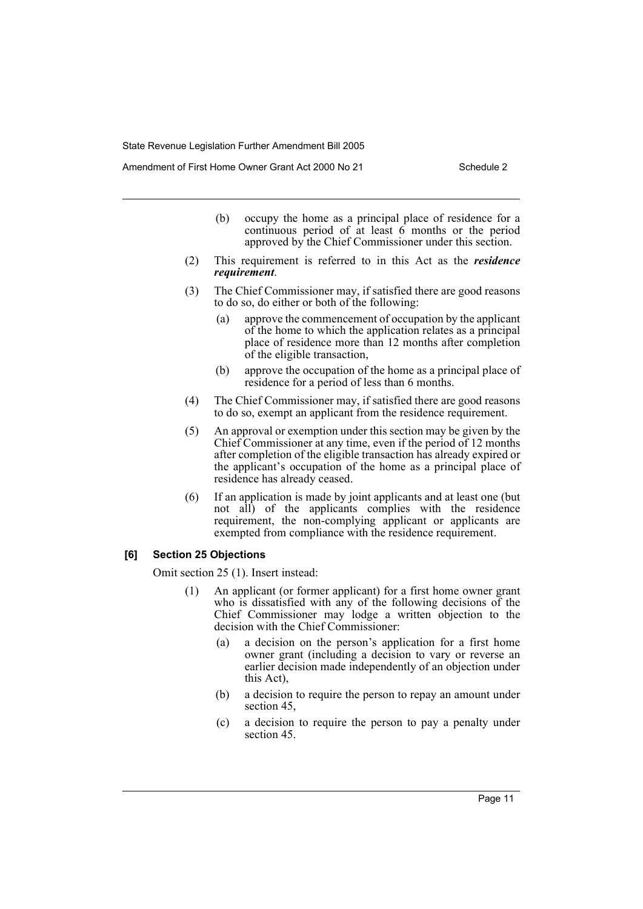Amendment of First Home Owner Grant Act 2000 No 21 Schedule 2

- (b) occupy the home as a principal place of residence for a continuous period of at least 6 months or the period approved by the Chief Commissioner under this section.
- (2) This requirement is referred to in this Act as the *residence requirement*.
- (3) The Chief Commissioner may, if satisfied there are good reasons to do so, do either or both of the following:
	- (a) approve the commencement of occupation by the applicant of the home to which the application relates as a principal place of residence more than 12 months after completion of the eligible transaction,
	- (b) approve the occupation of the home as a principal place of residence for a period of less than 6 months.
- (4) The Chief Commissioner may, if satisfied there are good reasons to do so, exempt an applicant from the residence requirement.
- (5) An approval or exemption under this section may be given by the Chief Commissioner at any time, even if the period of 12 months after completion of the eligible transaction has already expired or the applicant's occupation of the home as a principal place of residence has already ceased.
- (6) If an application is made by joint applicants and at least one (but not all) of the applicants complies with the residence requirement, the non-complying applicant or applicants are exempted from compliance with the residence requirement.

#### **[6] Section 25 Objections**

Omit section 25 (1). Insert instead:

- (1) An applicant (or former applicant) for a first home owner grant who is dissatisfied with any of the following decisions of the Chief Commissioner may lodge a written objection to the decision with the Chief Commissioner:
	- (a) a decision on the person's application for a first home owner grant (including a decision to vary or reverse an earlier decision made independently of an objection under this Act),
	- (b) a decision to require the person to repay an amount under section 45,
	- (c) a decision to require the person to pay a penalty under section 45.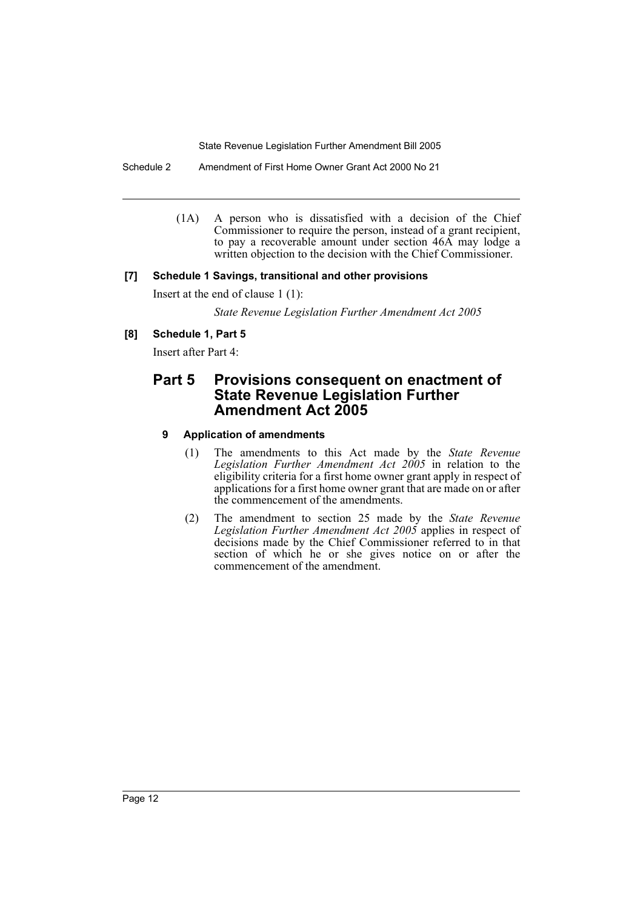Schedule 2 Amendment of First Home Owner Grant Act 2000 No 21

(1A) A person who is dissatisfied with a decision of the Chief Commissioner to require the person, instead of a grant recipient, to pay a recoverable amount under section 46A may lodge a written objection to the decision with the Chief Commissioner.

#### **[7] Schedule 1 Savings, transitional and other provisions**

Insert at the end of clause 1 (1):

*State Revenue Legislation Further Amendment Act 2005*

#### **[8] Schedule 1, Part 5**

Insert after Part 4:

### **Part 5 Provisions consequent on enactment of State Revenue Legislation Further Amendment Act 2005**

#### **9 Application of amendments**

- (1) The amendments to this Act made by the *State Revenue Legislation Further Amendment Act 2005* in relation to the eligibility criteria for a first home owner grant apply in respect of applications for a first home owner grant that are made on or after the commencement of the amendments.
- (2) The amendment to section 25 made by the *State Revenue Legislation Further Amendment Act 2005* applies in respect of decisions made by the Chief Commissioner referred to in that section of which he or she gives notice on or after the commencement of the amendment.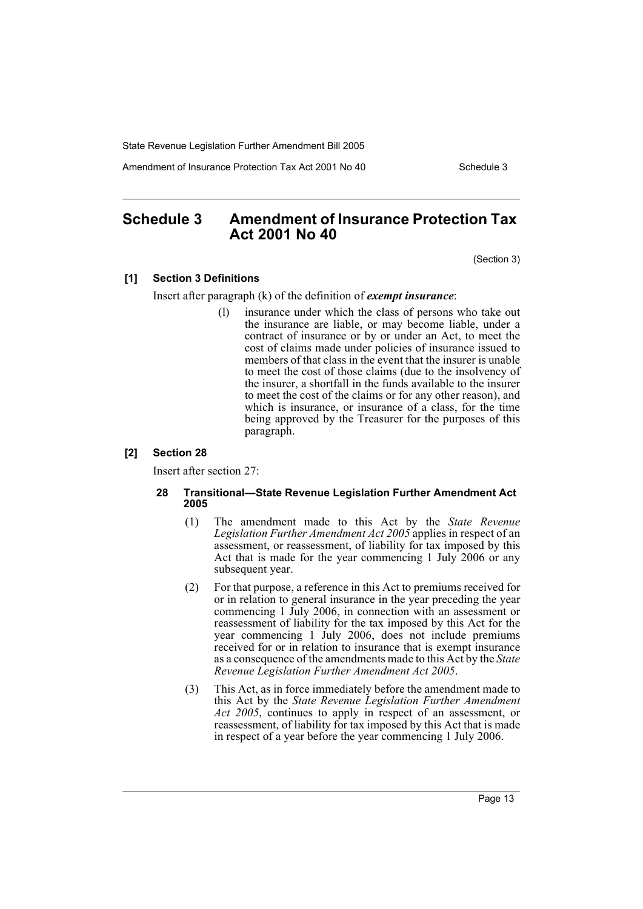Amendment of Insurance Protection Tax Act 2001 No 40 Schedule 3

### **Schedule 3 Amendment of Insurance Protection Tax Act 2001 No 40**

(Section 3)

#### **[1] Section 3 Definitions**

Insert after paragraph (k) of the definition of *exempt insurance*:

(l) insurance under which the class of persons who take out the insurance are liable, or may become liable, under a contract of insurance or by or under an Act, to meet the cost of claims made under policies of insurance issued to members of that class in the event that the insurer is unable to meet the cost of those claims (due to the insolvency of the insurer, a shortfall in the funds available to the insurer to meet the cost of the claims or for any other reason), and which is insurance, or insurance of a class, for the time being approved by the Treasurer for the purposes of this paragraph.

#### **[2] Section 28**

Insert after section 27:

#### **28 Transitional—State Revenue Legislation Further Amendment Act 2005**

- (1) The amendment made to this Act by the *State Revenue Legislation Further Amendment Act 2005* applies in respect of an assessment, or reassessment, of liability for tax imposed by this Act that is made for the year commencing 1 July 2006 or any subsequent year.
- (2) For that purpose, a reference in this Act to premiums received for or in relation to general insurance in the year preceding the year commencing 1 July 2006, in connection with an assessment or reassessment of liability for the tax imposed by this Act for the year commencing 1 July 2006, does not include premiums received for or in relation to insurance that is exempt insurance as a consequence of the amendments made to this Act by the *State Revenue Legislation Further Amendment Act 2005*.
- (3) This Act, as in force immediately before the amendment made to this Act by the *State Revenue Legislation Further Amendment Act 2005*, continues to apply in respect of an assessment, or reassessment, of liability for tax imposed by this Act that is made in respect of a year before the year commencing 1 July 2006.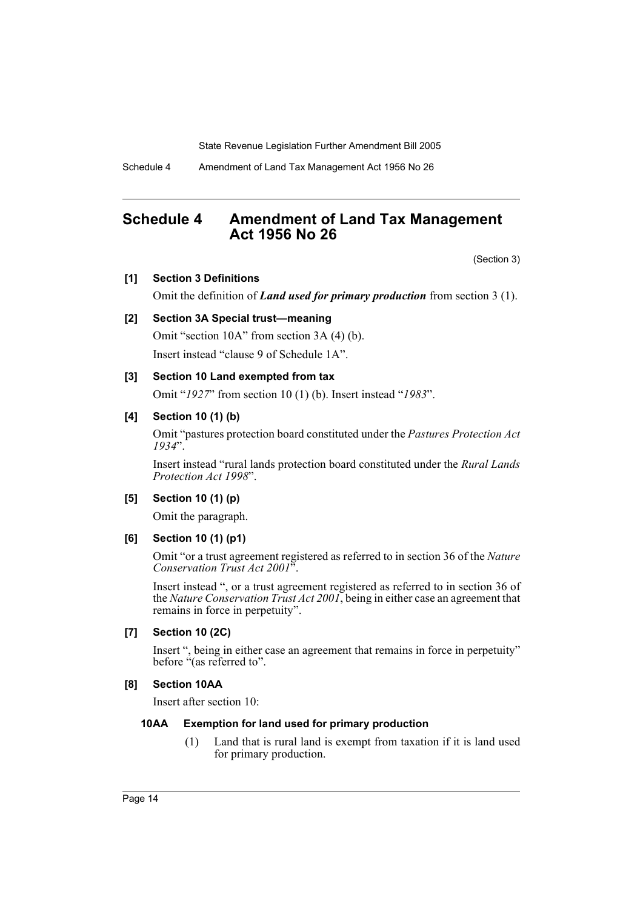Schedule 4 Amendment of Land Tax Management Act 1956 No 26

### **Schedule 4 Amendment of Land Tax Management Act 1956 No 26**

(Section 3)

#### **[1] Section 3 Definitions**

Omit the definition of *Land used for primary production* from section 3 (1).

#### **[2] Section 3A Special trust—meaning**

Omit "section 10A" from section 3A (4) (b).

Insert instead "clause 9 of Schedule 1A".

#### **[3] Section 10 Land exempted from tax**

Omit "*1927*" from section 10 (1) (b). Insert instead "*1983*".

#### **[4] Section 10 (1) (b)**

Omit "pastures protection board constituted under the *Pastures Protection Act 1934*".

Insert instead "rural lands protection board constituted under the *Rural Lands Protection Act 1998*".

#### **[5] Section 10 (1) (p)**

Omit the paragraph.

#### **[6] Section 10 (1) (p1)**

Omit "or a trust agreement registered as referred to in section 36 of the *Nature Conservation Trust Act 2001*".

Insert instead ", or a trust agreement registered as referred to in section 36 of the *Nature Conservation Trust Act 2001*, being in either case an agreement that remains in force in perpetuity".

#### **[7] Section 10 (2C)**

Insert ", being in either case an agreement that remains in force in perpetuity" before "(as referred to".

#### **[8] Section 10AA**

Insert after section 10:

#### **10AA Exemption for land used for primary production**

(1) Land that is rural land is exempt from taxation if it is land used for primary production.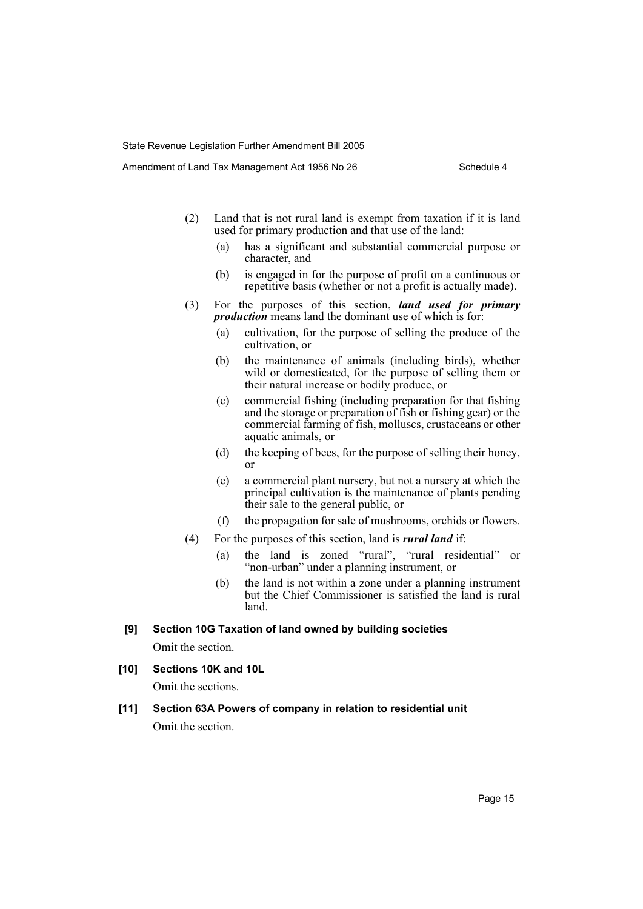- (2) Land that is not rural land is exempt from taxation if it is land used for primary production and that use of the land:
	- (a) has a significant and substantial commercial purpose or character, and
	- (b) is engaged in for the purpose of profit on a continuous or repetitive basis (whether or not a profit is actually made).
- (3) For the purposes of this section, *land used for primary production* means land the dominant use of which is for:
	- (a) cultivation, for the purpose of selling the produce of the cultivation, or
	- (b) the maintenance of animals (including birds), whether wild or domesticated, for the purpose of selling them or their natural increase or bodily produce, or
	- (c) commercial fishing (including preparation for that fishing and the storage or preparation of fish or fishing gear) or the commercial farming of fish, molluscs, crustaceans or other aquatic animals, or
	- (d) the keeping of bees, for the purpose of selling their honey, or
	- (e) a commercial plant nursery, but not a nursery at which the principal cultivation is the maintenance of plants pending their sale to the general public, or
	- (f) the propagation for sale of mushrooms, orchids or flowers.
- (4) For the purposes of this section, land is *rural land* if:
	- (a) the land is zoned "rural", "rural residential" or "non-urban" under a planning instrument, or
	- (b) the land is not within a zone under a planning instrument but the Chief Commissioner is satisfied the land is rural land.
- **[9] Section 10G Taxation of land owned by building societies** Omit the section.
- **[10] Sections 10K and 10L**

Omit the sections.

**[11] Section 63A Powers of company in relation to residential unit** Omit the section.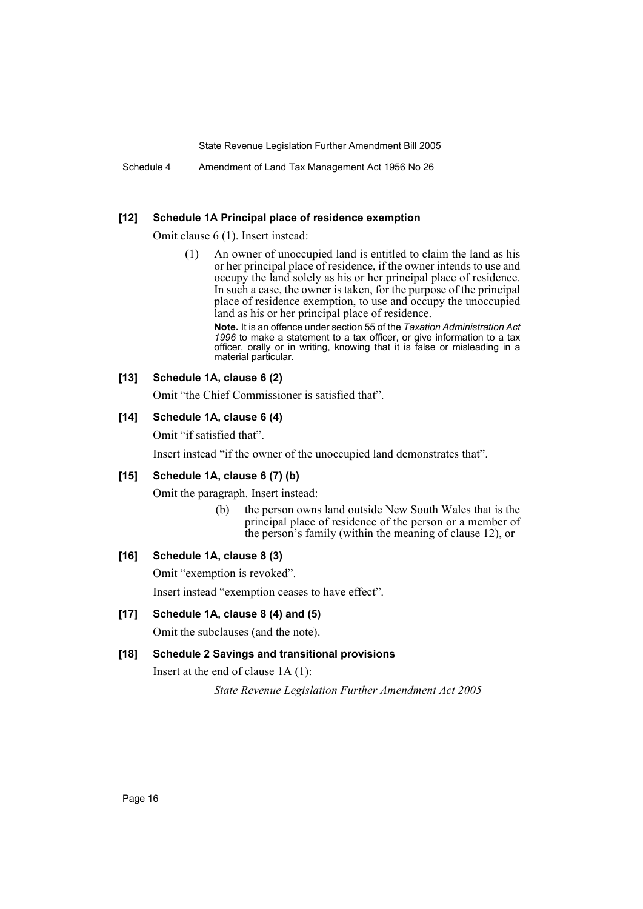Schedule 4 Amendment of Land Tax Management Act 1956 No 26

#### **[12] Schedule 1A Principal place of residence exemption**

Omit clause 6 (1). Insert instead:

(1) An owner of unoccupied land is entitled to claim the land as his or her principal place of residence, if the owner intends to use and occupy the land solely as his or her principal place of residence. In such a case, the owner is taken, for the purpose of the principal place of residence exemption, to use and occupy the unoccupied land as his or her principal place of residence.

**Note.** It is an offence under section 55 of the *Taxation Administration Act 1996* to make a statement to a tax officer, or give information to a tax officer, orally or in writing, knowing that it is false or misleading in a material particular.

#### **[13] Schedule 1A, clause 6 (2)**

Omit "the Chief Commissioner is satisfied that".

#### **[14] Schedule 1A, clause 6 (4)**

Omit "if satisfied that".

Insert instead "if the owner of the unoccupied land demonstrates that".

#### **[15] Schedule 1A, clause 6 (7) (b)**

Omit the paragraph. Insert instead:

(b) the person owns land outside New South Wales that is the principal place of residence of the person or a member of the person's family (within the meaning of clause 12), or

#### **[16] Schedule 1A, clause 8 (3)**

Omit "exemption is revoked".

Insert instead "exemption ceases to have effect".

#### **[17] Schedule 1A, clause 8 (4) and (5)**

Omit the subclauses (and the note).

#### **[18] Schedule 2 Savings and transitional provisions**

Insert at the end of clause 1A (1):

*State Revenue Legislation Further Amendment Act 2005*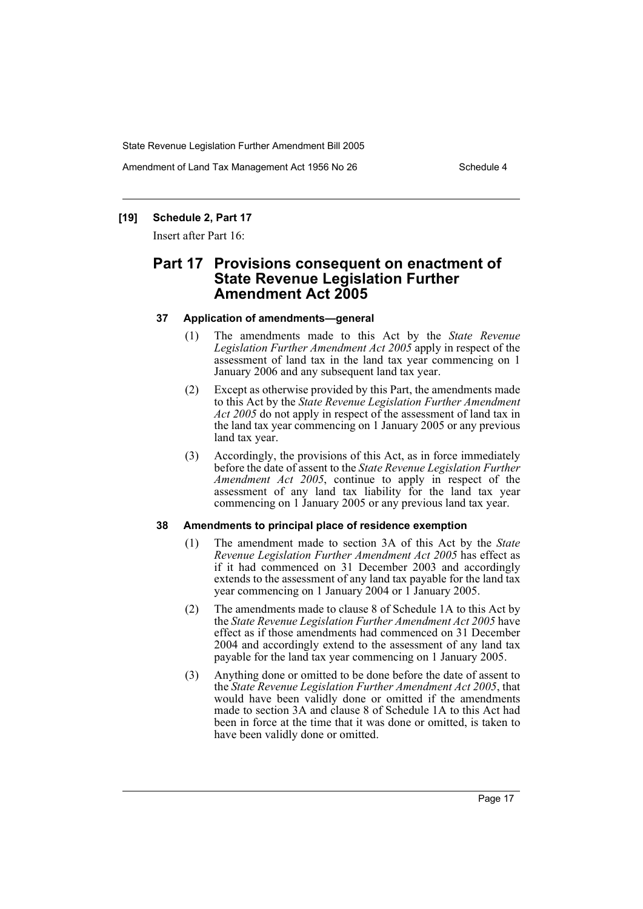Amendment of Land Tax Management Act 1956 No 26 Schedule 4

#### **[19] Schedule 2, Part 17**

Insert after Part 16:

### **Part 17 Provisions consequent on enactment of State Revenue Legislation Further Amendment Act 2005**

#### **37 Application of amendments—general**

- (1) The amendments made to this Act by the *State Revenue Legislation Further Amendment Act 2005* apply in respect of the assessment of land tax in the land tax year commencing on 1 January 2006 and any subsequent land tax year.
- (2) Except as otherwise provided by this Part, the amendments made to this Act by the *State Revenue Legislation Further Amendment Act 2005* do not apply in respect of the assessment of land tax in the land tax year commencing on 1 January 2005 or any previous land tax year.
- (3) Accordingly, the provisions of this Act, as in force immediately before the date of assent to the *State Revenue Legislation Further Amendment Act 2005*, continue to apply in respect of the assessment of any land tax liability for the land tax year commencing on 1 January 2005 or any previous land tax year.

#### **38 Amendments to principal place of residence exemption**

- (1) The amendment made to section 3A of this Act by the *State Revenue Legislation Further Amendment Act 2005* has effect as if it had commenced on 31 December 2003 and accordingly extends to the assessment of any land tax payable for the land tax year commencing on 1 January 2004 or 1 January 2005.
- (2) The amendments made to clause 8 of Schedule 1A to this Act by the *State Revenue Legislation Further Amendment Act 2005* have effect as if those amendments had commenced on 31 December 2004 and accordingly extend to the assessment of any land tax payable for the land tax year commencing on 1 January 2005.
- (3) Anything done or omitted to be done before the date of assent to the *State Revenue Legislation Further Amendment Act 2005*, that would have been validly done or omitted if the amendments made to section 3A and clause 8 of Schedule 1A to this Act had been in force at the time that it was done or omitted, is taken to have been validly done or omitted.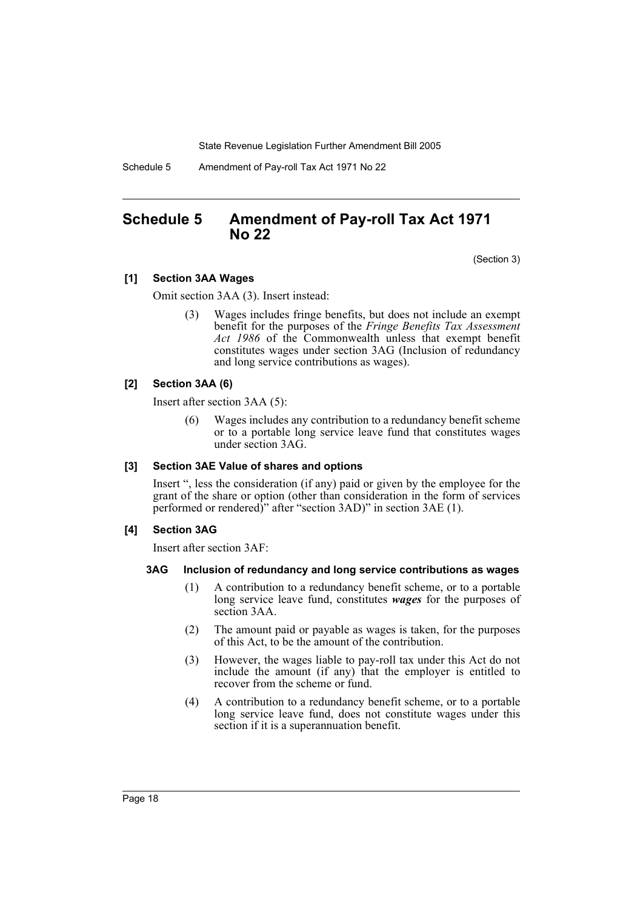Schedule 5 Amendment of Pay-roll Tax Act 1971 No 22

### **Schedule 5 Amendment of Pay-roll Tax Act 1971 No 22**

(Section 3)

#### **[1] Section 3AA Wages**

Omit section 3AA (3). Insert instead:

(3) Wages includes fringe benefits, but does not include an exempt benefit for the purposes of the *Fringe Benefits Tax Assessment Act 1986* of the Commonwealth unless that exempt benefit constitutes wages under section 3AG (Inclusion of redundancy and long service contributions as wages).

#### **[2] Section 3AA (6)**

Insert after section 3AA (5):

Wages includes any contribution to a redundancy benefit scheme or to a portable long service leave fund that constitutes wages under section 3AG.

#### **[3] Section 3AE Value of shares and options**

Insert ", less the consideration (if any) paid or given by the employee for the grant of the share or option (other than consideration in the form of services performed or rendered)" after "section 3AD)" in section 3AE (1).

#### **[4] Section 3AG**

Insert after section 3AF:

#### **3AG Inclusion of redundancy and long service contributions as wages**

- (1) A contribution to a redundancy benefit scheme, or to a portable long service leave fund, constitutes *wages* for the purposes of section 3AA.
- (2) The amount paid or payable as wages is taken, for the purposes of this Act, to be the amount of the contribution.
- (3) However, the wages liable to pay-roll tax under this Act do not include the amount (if any) that the employer is entitled to recover from the scheme or fund.
- (4) A contribution to a redundancy benefit scheme, or to a portable long service leave fund, does not constitute wages under this section if it is a superannuation benefit.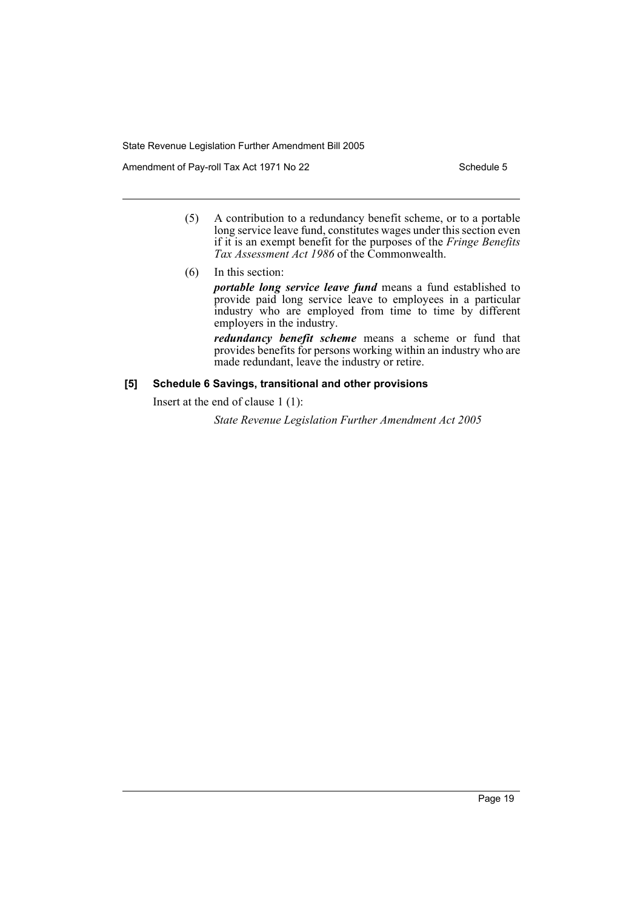Amendment of Pay-roll Tax Act 1971 No 22 Schedule 5

- (5) A contribution to a redundancy benefit scheme, or to a portable long service leave fund, constitutes wages under this section even if it is an exempt benefit for the purposes of the *Fringe Benefits Tax Assessment Act 1986* of the Commonwealth.
- (6) In this section:

*portable long service leave fund* means a fund established to provide paid long service leave to employees in a particular industry who are employed from time to time by different employers in the industry.

*redundancy benefit scheme* means a scheme or fund that provides benefits for persons working within an industry who are made redundant, leave the industry or retire.

#### **[5] Schedule 6 Savings, transitional and other provisions**

Insert at the end of clause 1 (1):

*State Revenue Legislation Further Amendment Act 2005*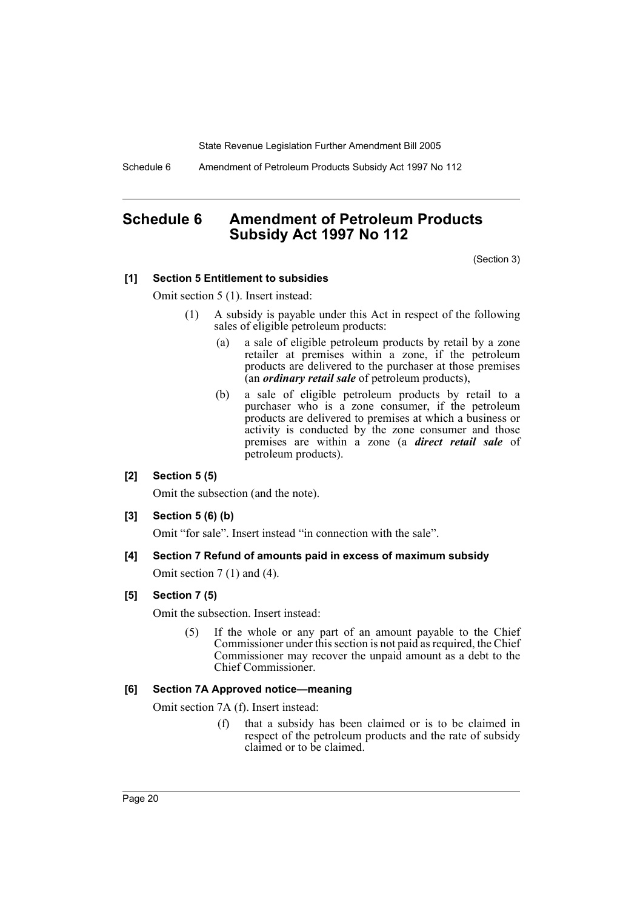Schedule 6 Amendment of Petroleum Products Subsidy Act 1997 No 112

### **Schedule 6 Amendment of Petroleum Products Subsidy Act 1997 No 112**

(Section 3)

#### **[1] Section 5 Entitlement to subsidies**

Omit section 5 (1). Insert instead:

- (1) A subsidy is payable under this Act in respect of the following sales of eligible petroleum products:
	- (a) a sale of eligible petroleum products by retail by a zone retailer at premises within a zone, if the petroleum products are delivered to the purchaser at those premises (an *ordinary retail sale* of petroleum products),
	- (b) a sale of eligible petroleum products by retail to a purchaser who is a zone consumer, if the petroleum products are delivered to premises at which a business or activity is conducted by the zone consumer and those premises are within a zone (a *direct retail sale* of petroleum products).

#### **[2] Section 5 (5)**

Omit the subsection (and the note).

**[3] Section 5 (6) (b)**

Omit "for sale". Insert instead "in connection with the sale".

**[4] Section 7 Refund of amounts paid in excess of maximum subsidy** Omit section 7 (1) and (4).

#### **[5] Section 7 (5)**

Omit the subsection. Insert instead:

(5) If the whole or any part of an amount payable to the Chief Commissioner under this section is not paid as required, the Chief Commissioner may recover the unpaid amount as a debt to the Chief Commissioner.

#### **[6] Section 7A Approved notice—meaning**

Omit section 7A (f). Insert instead:

(f) that a subsidy has been claimed or is to be claimed in respect of the petroleum products and the rate of subsidy claimed or to be claimed.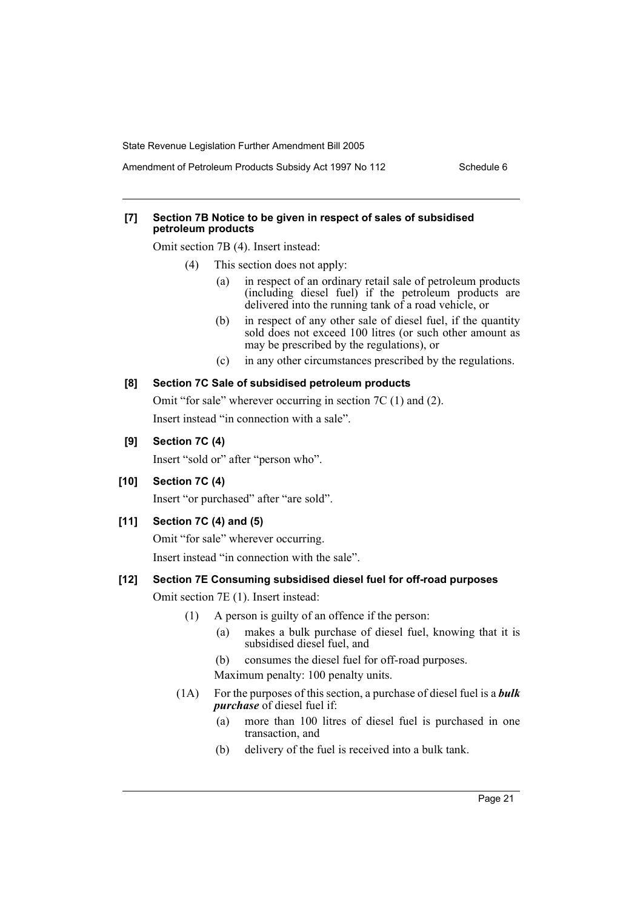Amendment of Petroleum Products Subsidy Act 1997 No 112 Schedule 6

#### **[7] Section 7B Notice to be given in respect of sales of subsidised petroleum products**

Omit section 7B (4). Insert instead:

- (4) This section does not apply:
	- (a) in respect of an ordinary retail sale of petroleum products (including diesel fuel) if the petroleum products are delivered into the running tank of a road vehicle, or
	- (b) in respect of any other sale of diesel fuel, if the quantity sold does not exceed 100 litres (or such other amount as may be prescribed by the regulations), or
	- (c) in any other circumstances prescribed by the regulations.

#### **[8] Section 7C Sale of subsidised petroleum products**

Omit "for sale" wherever occurring in section 7C (1) and (2). Insert instead "in connection with a sale".

#### **[9] Section 7C (4)**

Insert "sold or" after "person who".

**[10] Section 7C (4)**

Insert "or purchased" after "are sold".

#### **[11] Section 7C (4) and (5)**

Omit "for sale" wherever occurring.

Insert instead "in connection with the sale".

#### **[12] Section 7E Consuming subsidised diesel fuel for off-road purposes**

Omit section 7E (1). Insert instead:

- (1) A person is guilty of an offence if the person:
	- (a) makes a bulk purchase of diesel fuel, knowing that it is subsidised diesel fuel, and
	- (b) consumes the diesel fuel for off-road purposes. Maximum penalty: 100 penalty units.
- (1A) For the purposes of this section, a purchase of diesel fuel is a *bulk purchase* of diesel fuel if:
	- (a) more than 100 litres of diesel fuel is purchased in one transaction, and
	- (b) delivery of the fuel is received into a bulk tank.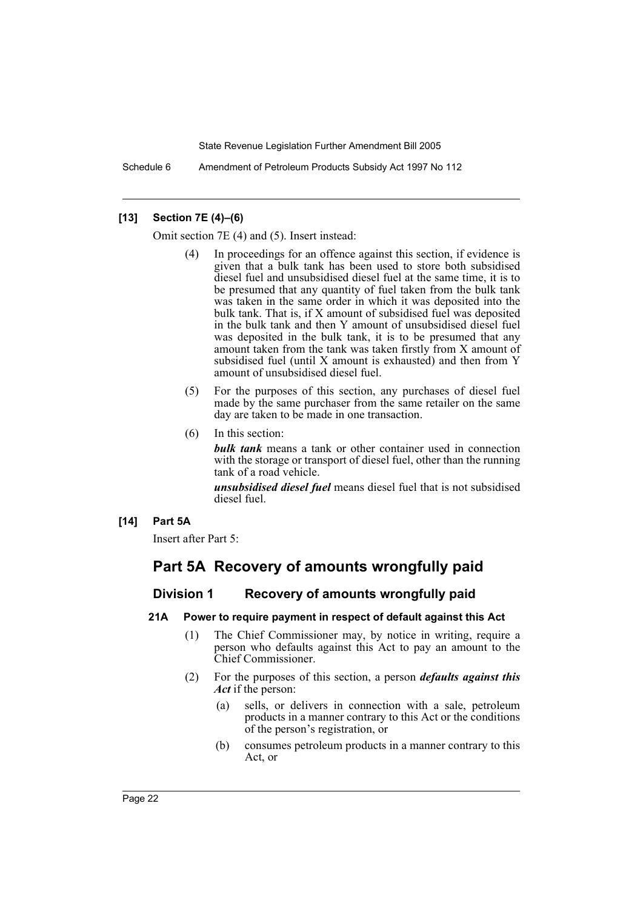Schedule 6 Amendment of Petroleum Products Subsidy Act 1997 No 112

#### **[13] Section 7E (4)–(6)**

Omit section 7E (4) and (5). Insert instead:

- In proceedings for an offence against this section, if evidence is given that a bulk tank has been used to store both subsidised diesel fuel and unsubsidised diesel fuel at the same time, it is to be presumed that any quantity of fuel taken from the bulk tank was taken in the same order in which it was deposited into the bulk tank. That is, if X amount of subsidised fuel was deposited in the bulk tank and then Y amount of unsubsidised diesel fuel was deposited in the bulk tank, it is to be presumed that any amount taken from the tank was taken firstly from X amount of subsidised fuel (until X amount is exhausted) and then from Y amount of unsubsidised diesel fuel.
- (5) For the purposes of this section, any purchases of diesel fuel made by the same purchaser from the same retailer on the same day are taken to be made in one transaction.
- (6) In this section:

*bulk tank* means a tank or other container used in connection with the storage or transport of diesel fuel, other than the running tank of a road vehicle.

*unsubsidised diesel fuel* means diesel fuel that is not subsidised diesel fuel.

#### **[14] Part 5A**

Insert after Part 5:

### **Part 5A Recovery of amounts wrongfully paid**

#### **Division 1 Recovery of amounts wrongfully paid**

#### **21A Power to require payment in respect of default against this Act**

- (1) The Chief Commissioner may, by notice in writing, require a person who defaults against this Act to pay an amount to the Chief Commissioner.
- (2) For the purposes of this section, a person *defaults against this Act* if the person:
	- (a) sells, or delivers in connection with a sale, petroleum products in a manner contrary to this Act or the conditions of the person's registration, or
	- (b) consumes petroleum products in a manner contrary to this Act, or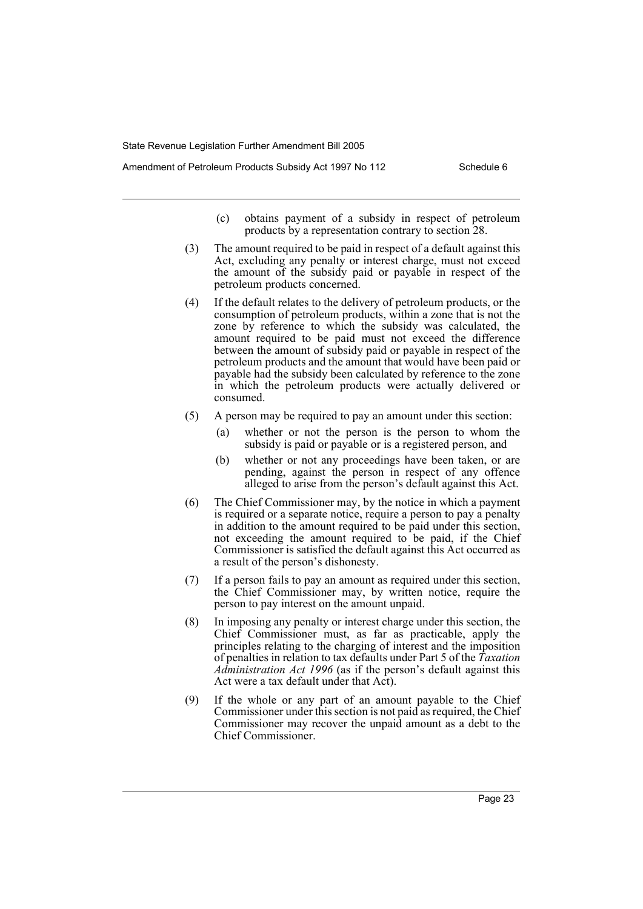- (c) obtains payment of a subsidy in respect of petroleum products by a representation contrary to section 28.
- (3) The amount required to be paid in respect of a default against this Act, excluding any penalty or interest charge, must not exceed the amount of the subsidy paid or payable in respect of the petroleum products concerned.
- (4) If the default relates to the delivery of petroleum products, or the consumption of petroleum products, within a zone that is not the zone by reference to which the subsidy was calculated, the amount required to be paid must not exceed the difference between the amount of subsidy paid or payable in respect of the petroleum products and the amount that would have been paid or payable had the subsidy been calculated by reference to the zone in which the petroleum products were actually delivered or consumed.
- (5) A person may be required to pay an amount under this section:
	- (a) whether or not the person is the person to whom the subsidy is paid or payable or is a registered person, and
	- (b) whether or not any proceedings have been taken, or are pending, against the person in respect of any offence alleged to arise from the person's default against this Act.
- (6) The Chief Commissioner may, by the notice in which a payment is required or a separate notice, require a person to pay a penalty in addition to the amount required to be paid under this section, not exceeding the amount required to be paid, if the Chief Commissioner is satisfied the default against this Act occurred as a result of the person's dishonesty.
- (7) If a person fails to pay an amount as required under this section, the Chief Commissioner may, by written notice, require the person to pay interest on the amount unpaid.
- (8) In imposing any penalty or interest charge under this section, the Chief Commissioner must, as far as practicable, apply the principles relating to the charging of interest and the imposition of penalties in relation to tax defaults under Part 5 of the *Taxation Administration Act 1996* (as if the person's default against this Act were a tax default under that Act).
- (9) If the whole or any part of an amount payable to the Chief Commissioner under this section is not paid as required, the Chief Commissioner may recover the unpaid amount as a debt to the Chief Commissioner.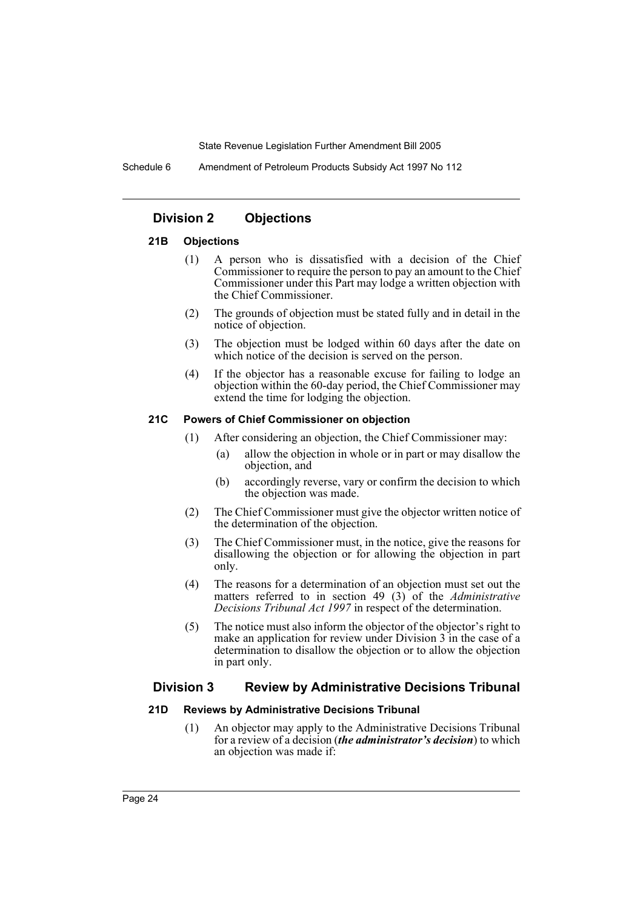Schedule 6 Amendment of Petroleum Products Subsidy Act 1997 No 112

#### **Division 2 Objections**

#### **21B Objections**

- (1) A person who is dissatisfied with a decision of the Chief Commissioner to require the person to pay an amount to the Chief Commissioner under this Part may lodge a written objection with the Chief Commissioner.
- (2) The grounds of objection must be stated fully and in detail in the notice of objection.
- (3) The objection must be lodged within 60 days after the date on which notice of the decision is served on the person.
- (4) If the objector has a reasonable excuse for failing to lodge an objection within the 60-day period, the Chief Commissioner may extend the time for lodging the objection.

#### **21C Powers of Chief Commissioner on objection**

- (1) After considering an objection, the Chief Commissioner may:
	- (a) allow the objection in whole or in part or may disallow the objection, and
	- (b) accordingly reverse, vary or confirm the decision to which the objection was made.
- (2) The Chief Commissioner must give the objector written notice of the determination of the objection.
- (3) The Chief Commissioner must, in the notice, give the reasons for disallowing the objection or for allowing the objection in part only.
- (4) The reasons for a determination of an objection must set out the matters referred to in section 49 (3) of the *Administrative Decisions Tribunal Act 1997* in respect of the determination.
- (5) The notice must also inform the objector of the objector's right to make an application for review under Division 3 in the case of a determination to disallow the objection or to allow the objection in part only.

#### **Division 3 Review by Administrative Decisions Tribunal**

#### **21D Reviews by Administrative Decisions Tribunal**

(1) An objector may apply to the Administrative Decisions Tribunal for a review of a decision (*the administrator's decision*) to which an objection was made if: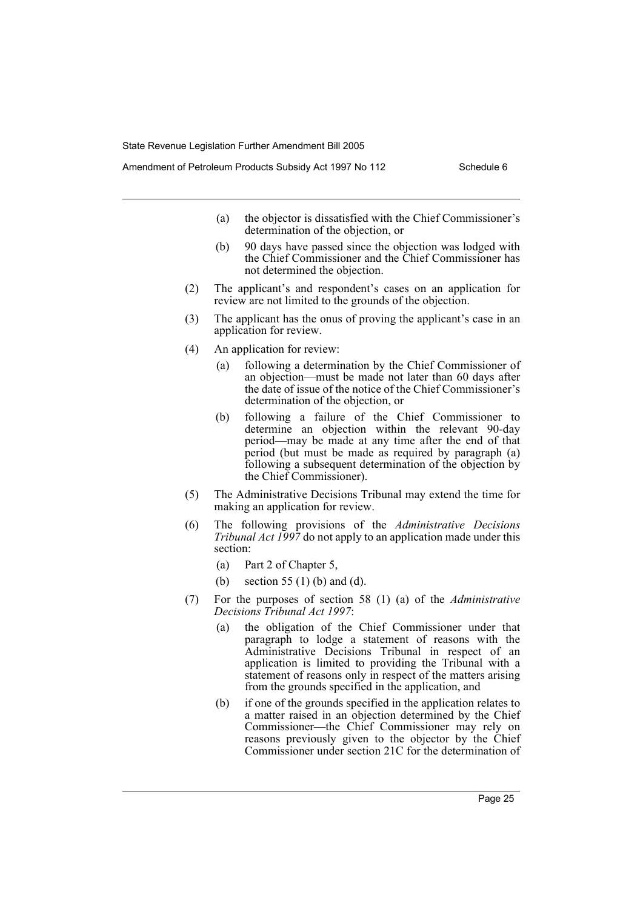- (a) the objector is dissatisfied with the Chief Commissioner's determination of the objection, or
- (b) 90 days have passed since the objection was lodged with the Chief Commissioner and the Chief Commissioner has not determined the objection.
- (2) The applicant's and respondent's cases on an application for review are not limited to the grounds of the objection.
- (3) The applicant has the onus of proving the applicant's case in an application for review.
- (4) An application for review:
	- (a) following a determination by the Chief Commissioner of an objection—must be made not later than 60 days after the date of issue of the notice of the Chief Commissioner's determination of the objection, or
	- (b) following a failure of the Chief Commissioner to determine an objection within the relevant 90-day period—may be made at any time after the end of that period (but must be made as required by paragraph (a) following a subsequent determination of the objection by the Chief Commissioner).
- (5) The Administrative Decisions Tribunal may extend the time for making an application for review.
- (6) The following provisions of the *Administrative Decisions Tribunal Act 1997* do not apply to an application made under this section:
	- (a) Part 2 of Chapter 5,
	- (b) section 55 (1) (b) and (d).
- (7) For the purposes of section 58 (1) (a) of the *Administrative Decisions Tribunal Act 1997*:
	- (a) the obligation of the Chief Commissioner under that paragraph to lodge a statement of reasons with the Administrative Decisions Tribunal in respect of an application is limited to providing the Tribunal with a statement of reasons only in respect of the matters arising from the grounds specified in the application, and
	- (b) if one of the grounds specified in the application relates to a matter raised in an objection determined by the Chief Commissioner—the Chief Commissioner may rely on reasons previously given to the objector by the Chief Commissioner under section 21C for the determination of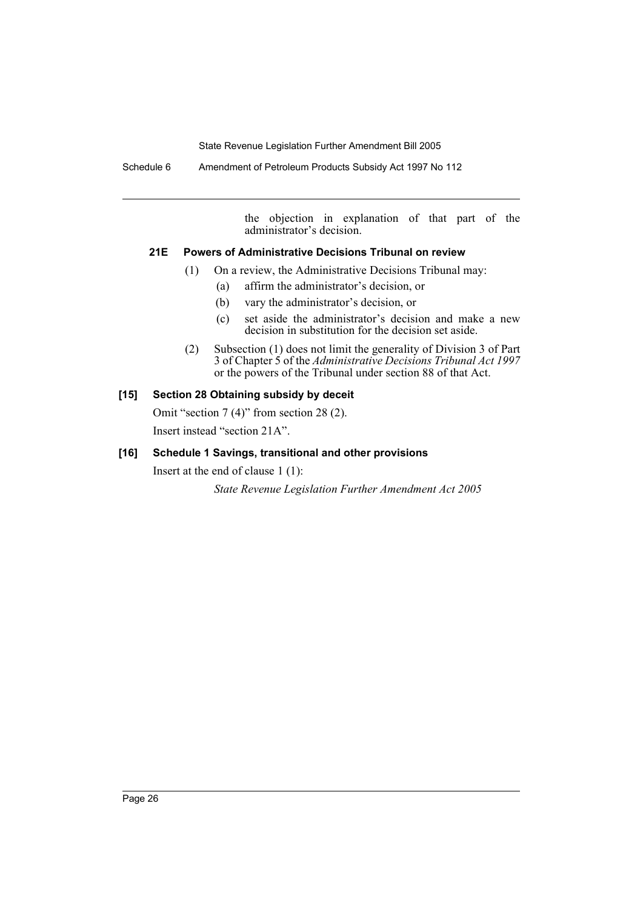Schedule 6 Amendment of Petroleum Products Subsidy Act 1997 No 112

the objection in explanation of that part of the administrator's decision.

#### **21E Powers of Administrative Decisions Tribunal on review**

- (1) On a review, the Administrative Decisions Tribunal may:
	- (a) affirm the administrator's decision, or
	- (b) vary the administrator's decision, or
	- (c) set aside the administrator's decision and make a new decision in substitution for the decision set aside.
- (2) Subsection (1) does not limit the generality of Division 3 of Part 3 of Chapter 5 of the *Administrative Decisions Tribunal Act 1997* or the powers of the Tribunal under section 88 of that Act.

#### **[15] Section 28 Obtaining subsidy by deceit**

Omit "section 7 (4)" from section 28 (2). Insert instead "section 21A".

### **[16] Schedule 1 Savings, transitional and other provisions**

Insert at the end of clause 1 (1): *State Revenue Legislation Further Amendment Act 2005*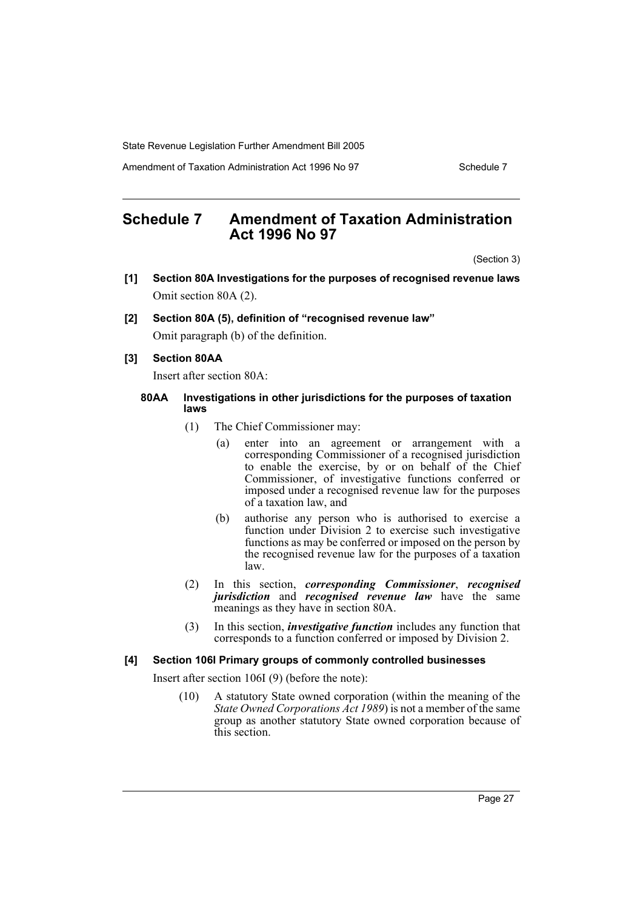Amendment of Taxation Administration Act 1996 No 97 Schedule 7

### **Schedule 7 Amendment of Taxation Administration Act 1996 No 97**

(Section 3)

- **[1] Section 80A Investigations for the purposes of recognised revenue laws** Omit section 80A (2).
- **[2] Section 80A (5), definition of "recognised revenue law"**

Omit paragraph (b) of the definition.

#### **[3] Section 80AA**

Insert after section 80A:

#### **80AA Investigations in other jurisdictions for the purposes of taxation laws**

- (1) The Chief Commissioner may:
	- (a) enter into an agreement or arrangement with a corresponding Commissioner of a recognised jurisdiction to enable the exercise, by or on behalf of the Chief Commissioner, of investigative functions conferred or imposed under a recognised revenue law for the purposes of a taxation law, and
	- (b) authorise any person who is authorised to exercise a function under Division 2 to exercise such investigative functions as may be conferred or imposed on the person by the recognised revenue law for the purposes of a taxation law.
- (2) In this section, *corresponding Commissioner*, *recognised jurisdiction* and *recognised revenue law* have the same meanings as they have in section 80A.
- (3) In this section, *investigative function* includes any function that corresponds to a function conferred or imposed by Division 2.

#### **[4] Section 106I Primary groups of commonly controlled businesses**

Insert after section 106I (9) (before the note):

(10) A statutory State owned corporation (within the meaning of the *State Owned Corporations Act 1989*) is not a member of the same group as another statutory State owned corporation because of this section.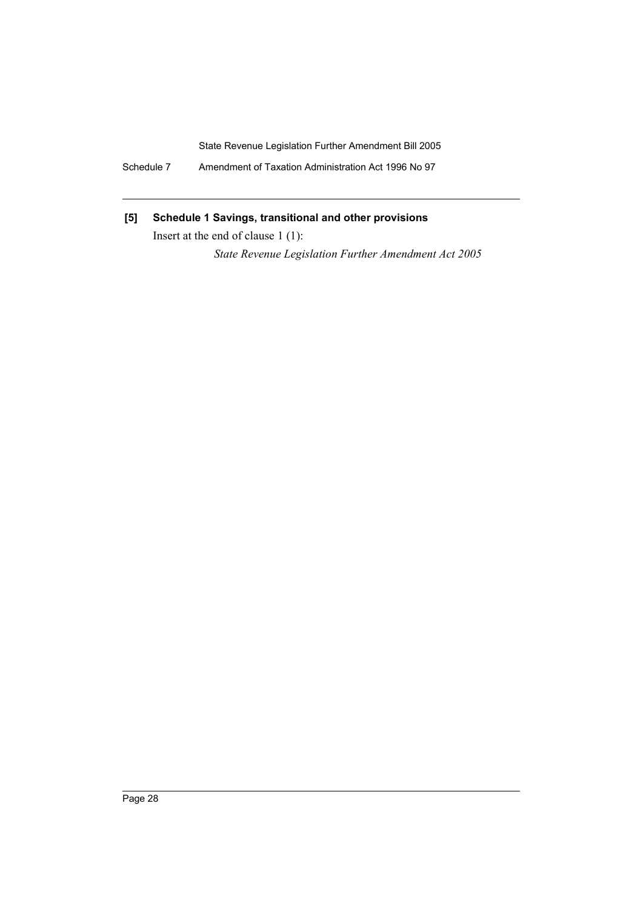Schedule 7 Amendment of Taxation Administration Act 1996 No 97

### **[5] Schedule 1 Savings, transitional and other provisions**

Insert at the end of clause 1 (1):

*State Revenue Legislation Further Amendment Act 2005*